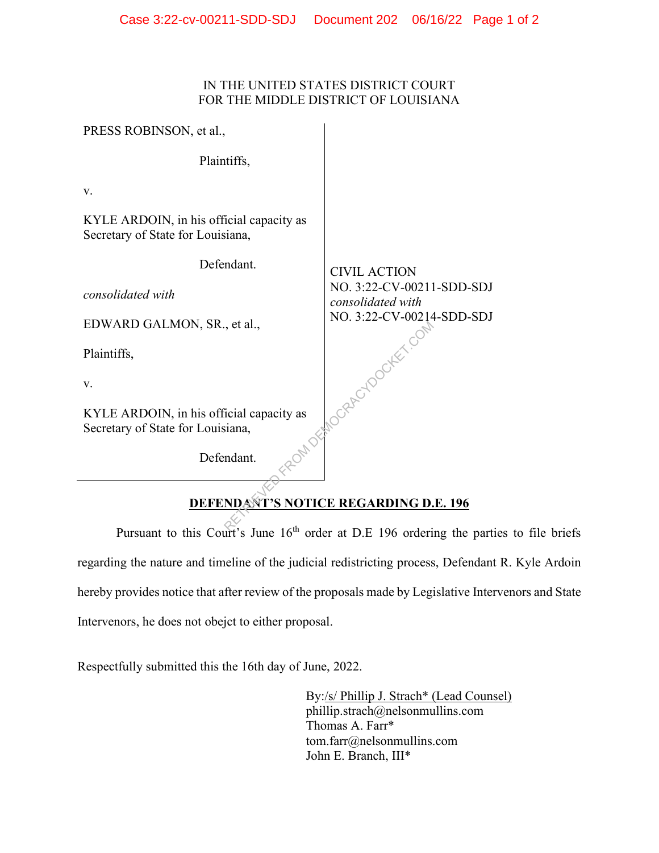## IN THE UNITED STATES DISTRICT COURT FOR THE MIDDLE DISTRICT OF LOUISIANA

| PRESS ROBINSON, et al.,                                                       |                                                |
|-------------------------------------------------------------------------------|------------------------------------------------|
| Plaintiffs,                                                                   |                                                |
| V.                                                                            |                                                |
| KYLE ARDOIN, in his official capacity as<br>Secretary of State for Louisiana, |                                                |
| Defendant.                                                                    | <b>CIVIL ACTION</b>                            |
| consolidated with                                                             | NO. 3:22-CV-00211-SDD-SDJ<br>consolidated with |
| EDWARD GALMON, SR., et al.,                                                   | NO. 3:22-CV-00214-SDD-SDJ                      |
| Plaintiffs,                                                                   |                                                |
| V.                                                                            | 2Acrococker.cc                                 |
| KYLE ARDOIN, in his official capacity as<br>Secretary of State for Louisiana, |                                                |
| Defendant.                                                                    |                                                |
| <b>DEFENDANT'S NOTICE REGARDING D.E. 196</b>                                  |                                                |
| $1/fh = 1$ $\rightarrow$ $\mathbf{D} \mathbf{F}$ $10f = 1$ $\rightarrow$ $1$  |                                                |

## **DEFENDANT'S NOTICE REGARDING D.E. 196**

Pursuant to this Court's June  $16<sup>th</sup>$  order at D.E 196 ordering the parties to file briefs regarding the nature and timeline of the judicial redistricting process, Defendant R. Kyle Ardoin hereby provides notice that after review of the proposals made by Legislative Intervenors and State Intervenors, he does not obejct to either proposal.

Respectfully submitted this the 16th day of June, 2022.

By:/s/ Phillip J. Strach\* (Lead Counsel) phillip.strach@nelsonmullins.com Thomas A. Farr\* tom.farr@nelsonmullins.com John E. Branch, III\*